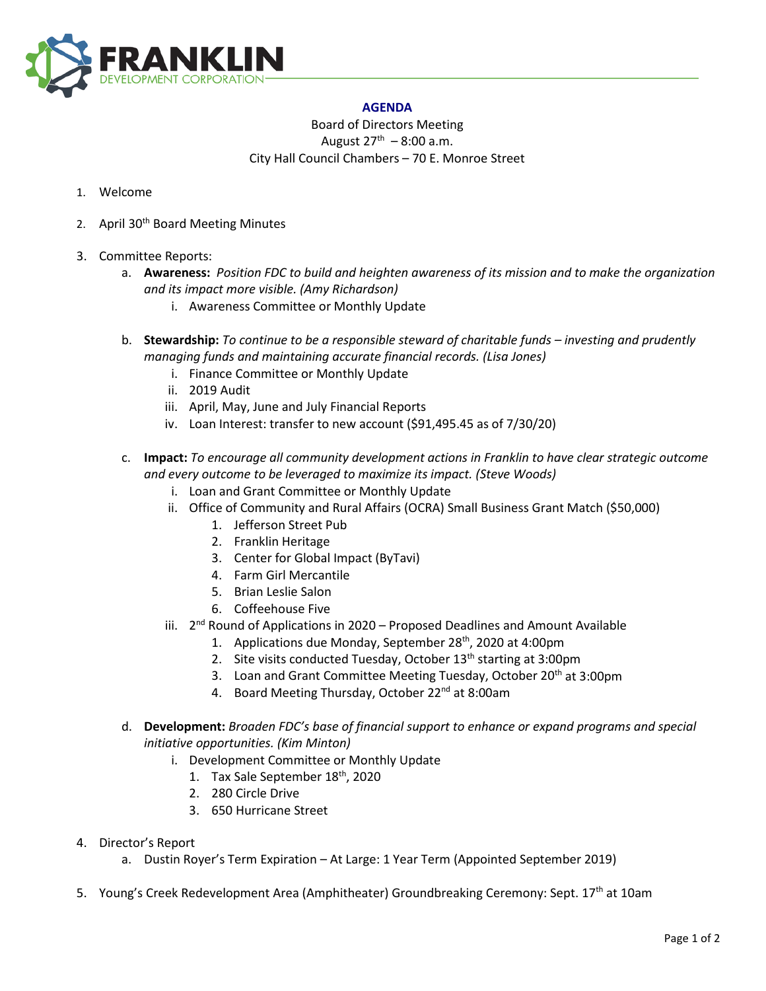

## **AGENDA**

Board of Directors Meeting August  $27^{th} - 8:00$  a.m. City Hall Council Chambers – 70 E. Monroe Street

- 1. Welcome
- 2. April 30<sup>th</sup> Board Meeting Minutes
- 3. Committee Reports:
	- a. **Awareness:** *Position FDC to build and heighten awareness of its mission and to make the organization and its impact more visible. (Amy Richardson)*
		- i. Awareness Committee or Monthly Update
	- b. **Stewardship:** *To continue to be a responsible steward of charitable funds – investing and prudently managing funds and maintaining accurate financial records. (Lisa Jones)*
		- i. Finance Committee or Monthly Update
		- ii. 2019 Audit
		- iii. April, May, June and July Financial Reports
		- iv. Loan Interest: transfer to new account (\$91,495.45 as of 7/30/20)
	- c. **Impact:** *To encourage all community development actions in Franklin to have clear strategic outcome and every outcome to be leveraged to maximize its impact. (Steve Woods)*
		- i. Loan and Grant Committee or Monthly Update
		- ii. Office of Community and Rural Affairs (OCRA) Small Business Grant Match (\$50,000)
			- 1. Jefferson Street Pub
			- 2. Franklin Heritage
			- 3. Center for Global Impact (ByTavi)
			- 4. Farm Girl Mercantile
			- 5. Brian Leslie Salon
			- 6. Coffeehouse Five
		- iii.  $2^{nd}$  Round of Applications in 2020 Proposed Deadlines and Amount Available
			- 1. Applications due Monday, September 28<sup>th</sup>, 2020 at 4:00pm
			- 2. Site visits conducted Tuesday, October 13<sup>th</sup> starting at 3:00pm
			- 3. Loan and Grant Committee Meeting Tuesday, October 20<sup>th</sup> at 3:00pm
			- 4. Board Meeting Thursday, October 22<sup>nd</sup> at 8:00am
	- d. **Development:** *Broaden FDC's base of financial support to enhance or expand programs and special initiative opportunities. (Kim Minton)*
		- i. Development Committee or Monthly Update
			- 1. Tax Sale September 18<sup>th</sup>, 2020
			- 2. 280 Circle Drive
			- 3. 650 Hurricane Street
- 4. Director's Report
	- a. Dustin Royer's Term Expiration At Large: 1 Year Term (Appointed September 2019)
- 5. Young's Creek Redevelopment Area (Amphitheater) Groundbreaking Ceremony: Sept. 17<sup>th</sup> at 10am